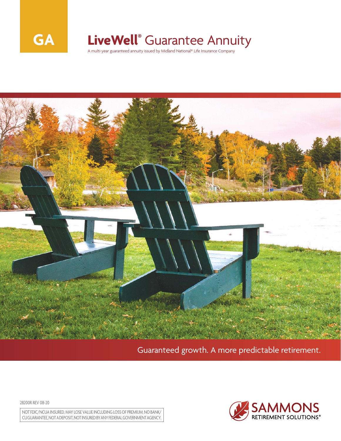

## **LiveWell®** Guarantee Annuity

A multi-year guaranteed annuity issued by Midland National® Life Insurance Company



Guaranteed growth. A more predictable retirement.

28200R REV 08-20

NOT FDIC/NCUA INSURED, MAY LOSE VALUE INCLUDING LOSS OF PREMIUM, NO BANK/ CU GUARANTEE, NOT A DEPOSIT, NOT INSURED BY ANY FEDERAL GOVERNMENT AGENCY.

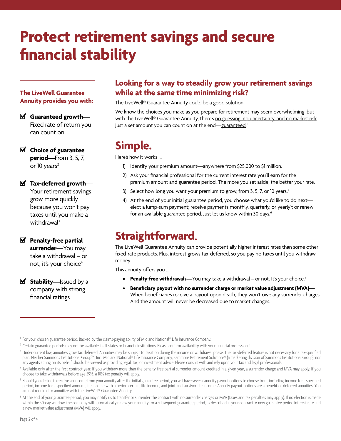# **Protect retirement savings and secure financial stability**

#### **The LiveWell Guarantee Annuity provides you with:**

- **Guaranteed growth—** Fixed rate of return you can count on $<sup>1</sup>$ </sup>
- **Choice of guarantee period—**From 3, 5, 7, or 10 years $2$

**Tax-deferred growth—** Your retirement savings grow more quickly because you won't pay taxes until you make a withdrawal<sup>3</sup>

- **Penalty-free partial surrender—**You may take a withdrawal – or not; it's your choice<sup>4</sup>
- Stability—Issued by a company with strong financial ratings

#### **Looking for a way to steadily grow your retirement savings while at the same time minimizing risk?**

The LiveWell® Guarantee Annuity could be a good solution.

We know the choices you make as you prepare for retirement may seem overwhelming, but with the LiveWell® Guarantee Annuity, there's no guessing, no uncertainty, and no market risk. Just a set amount you can count on at the end—<u>guaranteed</u>.'

### **Simple.**

Here's how it works …

- 1) Identify your premium amount—anywhere from \$25,000 to \$1 million.
- 2) Ask your financial professional for the current interest rate you'll earn for the premium amount and guarantee period. The more you set aside, the better your rate.
- 3) Select how long you want your premium to grow, from 3, 5, 7, or 10 years.<sup>2</sup>
- 4) At the end of your initial guarantee period, you choose what you'd like to do nextelect a lump-sum payment; receive payments monthly, quarterly, or yearly<sup>s</sup>; or renew for an available guarantee period. Just let us know within 30 days.<sup>6</sup>

### **Straightforward.**

The LiveWell Guarantee Annuity can provide potentially higher interest rates than some other fixed-rate products. Plus, interest grows tax-deferred, so you pay no taxes until you withdraw money.

This annuity offers you …

- **• Penalty-free withdrawals**—You may take a withdrawal or not. It's your choice.<sup>4</sup>
- **• Beneficiary payout with no surrender charge or market value adjustment (MVA)—** When beneficiaries receive a payout upon death, they won't owe any surrender charges. And the amount will never be decreased due to market changes.

<sup>&</sup>lt;sup>1</sup> For your chosen guarantee period. Backed by the claims-paying ability of Midland National® Life Insurance Company.

<sup>&</sup>lt;sup>2</sup> Certain guarantee periods may not be available in all states or financial institutions. Please confirm availability with your financial professional.

<sup>&</sup>lt;sup>3</sup> Under current law, annuities grow tax deferred. Annuities may be subject to taxation during the income or withdrawal phase. The tax-deferred feature is not necessary for a tax-qualified plan. Neither Sammons Institutional GroupSM, Inc., Midland National® Life Insurance Company, Sammons Retirement Solutions® (a marketing division of Sammons Institutional Group), nor any agents acting on its behalf, should be viewed as providing legal, tax, or investment advice. Please consult with and rely upon your tax and legal professionals.

<sup>4</sup> Available only after the first contract year. If you withdraw more than the penalty-free partial surrender amount credited in a given year, a surrender charge and MVA may apply. If you choose to take withdrawals before age 59½, a 10% tax penalty will apply.

<sup>&</sup>lt;sup>5</sup> Should you decide to receive an income from your annuity after the initial guarantee period, you will have several annuity payout options to choose from, including: income for a specified period, income for a specified amount, life income with a period certain, life income, and joint and survivor life income. Annuity payout options are a benefit of deferred annuities. You are not required to annuitize with the LiveWell® Guarantee Annuity.

<sup>&</sup>lt;sup>6</sup> At the end of your guarantee period, you may notify us to transfer or surrender the contract with no surrender charges or MVA (taxes and tax penalties may apply). If no election is made within the 30-day window, the company will automatically renew your annuity for a subsequent guarantee period, as described in your contract. A new guarantee period interest rate and a new market value adjustment (MVA) will apply.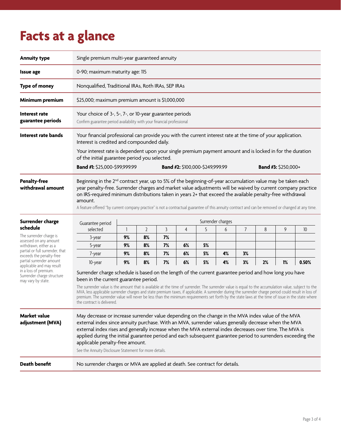## **Facts at a glance**

| <b>Annuity type</b>                                                                                                                                                                                                                                                              | Single premium multi-year guaranteed annuity                                                                                                                                                                                                                                                                                                                                                                                                                                                                                                                                                                                                        |                                                                             |                |    |    |    |    |    |    |    |       |  |
|----------------------------------------------------------------------------------------------------------------------------------------------------------------------------------------------------------------------------------------------------------------------------------|-----------------------------------------------------------------------------------------------------------------------------------------------------------------------------------------------------------------------------------------------------------------------------------------------------------------------------------------------------------------------------------------------------------------------------------------------------------------------------------------------------------------------------------------------------------------------------------------------------------------------------------------------------|-----------------------------------------------------------------------------|----------------|----|----|----|----|----|----|----|-------|--|
| <b>Issue age</b>                                                                                                                                                                                                                                                                 | 0-90; maximum maturity age: 115                                                                                                                                                                                                                                                                                                                                                                                                                                                                                                                                                                                                                     |                                                                             |                |    |    |    |    |    |    |    |       |  |
| <b>Type of money</b>                                                                                                                                                                                                                                                             | Nonqualified, Traditional IRAs, Roth IRAs, SEP IRAs                                                                                                                                                                                                                                                                                                                                                                                                                                                                                                                                                                                                 |                                                                             |                |    |    |    |    |    |    |    |       |  |
| Minimum premium                                                                                                                                                                                                                                                                  | \$25,000; maximum premium amount is \$1,000,000                                                                                                                                                                                                                                                                                                                                                                                                                                                                                                                                                                                                     |                                                                             |                |    |    |    |    |    |    |    |       |  |
| Interest rate<br>guarantee periods                                                                                                                                                                                                                                               | Your choice of 3-, 5-, 7-, or 10-year guarantee periods<br>Confirm guarantee period availability with your financial professional                                                                                                                                                                                                                                                                                                                                                                                                                                                                                                                   |                                                                             |                |    |    |    |    |    |    |    |       |  |
| Interest rate bands                                                                                                                                                                                                                                                              | Your financial professional can provide you with the current interest rate at the time of your application.<br>Interest is credited and compounded daily.<br>Your interest rate is dependent upon your single premium payment amount and is locked in for the duration                                                                                                                                                                                                                                                                                                                                                                              |                                                                             |                |    |    |    |    |    |    |    |       |  |
|                                                                                                                                                                                                                                                                                  | of the initial guarantee period you selected.<br>Band #1: \$25,000-\$99,999.99<br>Band #2: \$100,000-\$249,999.99<br><b>Band #3: \$250,000+</b>                                                                                                                                                                                                                                                                                                                                                                                                                                                                                                     |                                                                             |                |    |    |    |    |    |    |    |       |  |
| <b>Penalty-free</b><br>withdrawal amount                                                                                                                                                                                                                                         | Beginning in the 2 <sup>nd</sup> contract year, up to 5% of the beginning-of-year accumulation value may be taken each<br>year penalty-free. Surrender charges and market value adjustments will be waived by current company practice<br>on IRS-required minimum distributions taken in years 2+ that exceed the available penalty-free withdrawal<br>amount.<br>A feature offered "by current company practice" is not a contractual guarantee of this annuity contract and can be removed or changed at any time.                                                                                                                                |                                                                             |                |    |    |    |    |    |    |    |       |  |
| Surrender charge                                                                                                                                                                                                                                                                 | Surrender charges<br>Guarantee period                                                                                                                                                                                                                                                                                                                                                                                                                                                                                                                                                                                                               |                                                                             |                |    |    |    |    |    |    |    |       |  |
| schedule                                                                                                                                                                                                                                                                         | selected                                                                                                                                                                                                                                                                                                                                                                                                                                                                                                                                                                                                                                            |                                                                             | $\overline{2}$ | 3  | 4  | 5  | 6  | 7  | 8  | 9  | 10    |  |
| The surrender charge is<br>assessed on any amount<br>withdrawn, either as a<br>partial or full surrender, that<br>exceeds the penalty-free<br>partial surrender amount<br>applicable and may result<br>in a loss of premium.<br>Surrender charge structure<br>may vary by state. | 3-year                                                                                                                                                                                                                                                                                                                                                                                                                                                                                                                                                                                                                                              | 9%                                                                          | 8%             | 7% |    |    |    |    |    |    |       |  |
|                                                                                                                                                                                                                                                                                  | 5-year                                                                                                                                                                                                                                                                                                                                                                                                                                                                                                                                                                                                                                              | 9%                                                                          | 8%             | 7% | 6% | 5% |    |    |    |    |       |  |
|                                                                                                                                                                                                                                                                                  | 7-year                                                                                                                                                                                                                                                                                                                                                                                                                                                                                                                                                                                                                                              | 9%                                                                          | 8%             | 7% | 6% | 5% | 4% | 3% |    |    |       |  |
|                                                                                                                                                                                                                                                                                  | 10-year                                                                                                                                                                                                                                                                                                                                                                                                                                                                                                                                                                                                                                             | 9%                                                                          | 8%             | 7% | 6% | 5% | 4% | 3% | 2% | 1% | 0.50% |  |
|                                                                                                                                                                                                                                                                                  | Surrender charge schedule is based on the length of the current guarantee period and how long you have<br>been in the current guarantee period.<br>The surrender value is the amount that is available at the time of surrender. The surrender value is equal to the accumulation value, subject to the<br>MVA, less applicable surrender charges and state premium taxes, if applicable. A surrender during the surrender charge period could result in loss of<br>premium. The surrender value will never be less than the minimum requirements set forth by the state laws at the time of issue in the state where<br>the contract is delivered. |                                                                             |                |    |    |    |    |    |    |    |       |  |
| <b>Market value</b><br>adjustment (MVA)                                                                                                                                                                                                                                          | May decrease or increase surrender value depending on the change in the MVA index value of the MVA<br>external index since annuity purchase. With an MVA, surrender values generally decrease when the MVA<br>external index rises and generally increase when the MVA external index decreases over time. The MVA is<br>applied during the initial guarantee period and each subsequent guarantee period to surrenders exceeding the<br>applicable penalty-free amount.<br>See the Annuity Disclosure Statement for more details.                                                                                                                  |                                                                             |                |    |    |    |    |    |    |    |       |  |
| <b>Death benefit</b>                                                                                                                                                                                                                                                             |                                                                                                                                                                                                                                                                                                                                                                                                                                                                                                                                                                                                                                                     | No surrender charges or MVA are applied at death. See contract for details. |                |    |    |    |    |    |    |    |       |  |